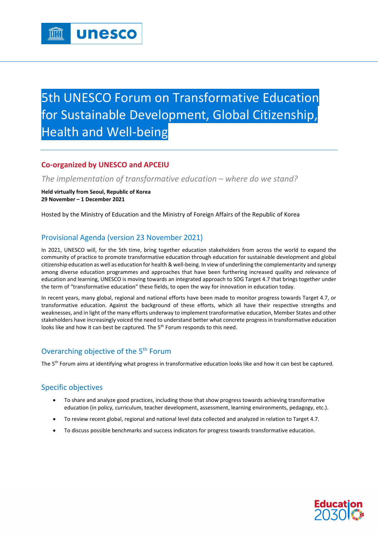# 5th UNESCO Forum on Transformative Education for Sustainable Development, Global Citizenship, Health and Well-being

# **Co-organized by UNESCO and APCEIU**

*The implementation of transformative education – where do we stand?*

**Held virtually from Seoul, Republic of Korea 29 November – 1 December 2021**

Hosted by the Ministry of Education and the Ministry of Foreign Affairs of the Republic of Korea

# Provisional Agenda (version 23 November 2021)

In 2021, UNESCO will, for the 5th time, bring together education stakeholders from across the world to expand the community of practice to promote transformative education through education for sustainable development and global citizenship education as well as education for health & well-being. In view of underlining the complementarity and synergy among diverse education programmes and approaches that have been furthering increased quality and relevance of education and learning, UNESCO is moving towards an integrated approach to SDG Target 4.7 that brings together under the term of "transformative education" these fields, to open the way for innovation in education today.

In recent years, many global, regional and national efforts have been made to monitor progress towards Target 4.7, or transformative education. Against the background of these efforts, which all have their respective strengths and weaknesses, and in light of the many efforts underway to implement transformative education, Member States and other stakeholders have increasingly voiced the need to understand better what concrete progress in transformative education looks like and how it can best be captured. The 5<sup>th</sup> Forum responds to this need.

## Overarching objective of the 5<sup>th</sup> Forum

The 5<sup>th</sup> Forum aims at identifying what progress in transformative education looks like and how it can best be captured.

## Specific objectives

- To share and analyze good practices, including those that show progress towards achieving transformative education (in policy, curriculum, teacher development, assessment, learning environments, pedagogy, etc.).
- To review recent global, regional and national level data collected and analyzed in relation to Target 4.7.
- To discuss possible benchmarks and success indicators for progress towards transformative education.

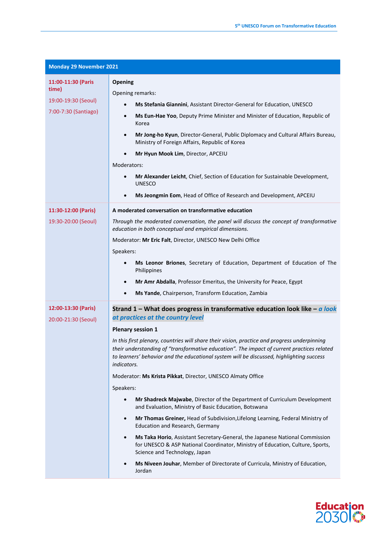| <b>Monday 29 November 2021</b>                                             |                                                                                                                                                                                                                                                                                                                                                                                                                                                                                                                                                                                                                                                                                                                                                                                                                                                                                                                                                                                                                                                                                                                                      |  |
|----------------------------------------------------------------------------|--------------------------------------------------------------------------------------------------------------------------------------------------------------------------------------------------------------------------------------------------------------------------------------------------------------------------------------------------------------------------------------------------------------------------------------------------------------------------------------------------------------------------------------------------------------------------------------------------------------------------------------------------------------------------------------------------------------------------------------------------------------------------------------------------------------------------------------------------------------------------------------------------------------------------------------------------------------------------------------------------------------------------------------------------------------------------------------------------------------------------------------|--|
| 11:00-11:30 (Paris<br>time)<br>19:00-19:30 (Seoul)<br>7:00-7:30 (Santiago) | Opening<br>Opening remarks:<br>Ms Stefania Giannini, Assistant Director-General for Education, UNESCO<br>Ms Eun-Hae Yoo, Deputy Prime Minister and Minister of Education, Republic of<br>$\bullet$<br>Korea<br>Mr Jong-ho Kyun, Director-General, Public Diplomacy and Cultural Affairs Bureau,<br>$\bullet$<br>Ministry of Foreign Affairs, Republic of Korea<br>Mr Hyun Mook Lim, Director, APCEIU<br>Moderators:<br>Mr Alexander Leicht, Chief, Section of Education for Sustainable Development,<br><b>UNESCO</b><br>Ms Jeongmin Eom, Head of Office of Research and Development, APCEIU<br>$\bullet$                                                                                                                                                                                                                                                                                                                                                                                                                                                                                                                            |  |
| 11:30-12:00 (Paris)<br>19:30-20:00 (Seoul)                                 | A moderated conversation on transformative education<br>Through the moderated conversation, the panel will discuss the concept of transformative<br>education in both conceptual and empirical dimensions.<br>Moderator: Mr Eric Falt, Director, UNESCO New Delhi Office<br>Speakers:<br>Ms Leonor Briones, Secretary of Education, Department of Education of The<br>$\bullet$<br>Philippines<br>Mr Amr Abdalla, Professor Emeritus, the University for Peace, Egypt<br>Ms Yande, Chairperson, Transform Education, Zambia<br>$\bullet$                                                                                                                                                                                                                                                                                                                                                                                                                                                                                                                                                                                             |  |
| 12:00-13:30 (Paris)<br>20:00-21:30 (Seoul)                                 | Strand $1 -$ What does progress in transformative education look like $-a$ look<br>at practices at the country level<br><b>Plenary session 1</b><br>In this first plenary, countries will share their vision, practice and progress underpinning<br>their understanding of "transformative education". The impact of current practices related<br>to learners' behavior and the educational system will be discussed, highlighting success<br>indicators.<br>Moderator: Ms Krista Pikkat, Director, UNESCO Almaty Office<br>Speakers:<br>Mr Shadreck Majwabe, Director of the Department of Curriculum Development<br>and Evaluation, Ministry of Basic Education, Botswana<br>Mr Thomas Greiner, Head of Subdivision, Lifelong Learning, Federal Ministry of<br>$\bullet$<br>Education and Research, Germany<br>Ms Taka Horio, Assistant Secretary-General, the Japanese National Commission<br>$\bullet$<br>for UNESCO & ASP National Coordinator, Ministry of Education, Culture, Sports,<br>Science and Technology, Japan<br>Ms Niveen Jouhar, Member of Directorate of Curricula, Ministry of Education,<br>$\bullet$<br>Jordan |  |

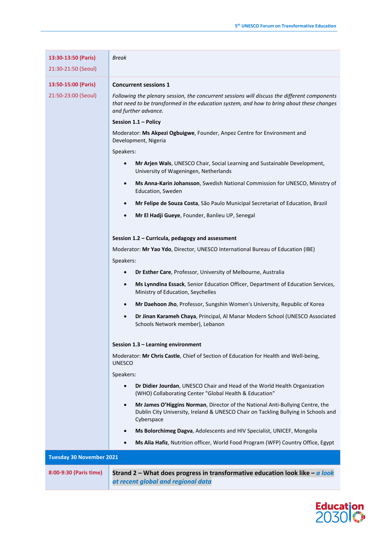| 13:30-13:50 (Paris)             | Break                                                                                                                                                                                                             |  |  |  |  |
|---------------------------------|-------------------------------------------------------------------------------------------------------------------------------------------------------------------------------------------------------------------|--|--|--|--|
| 21:30-21:50 (Seoul)             |                                                                                                                                                                                                                   |  |  |  |  |
|                                 |                                                                                                                                                                                                                   |  |  |  |  |
| 13:50-15:00 (Paris)             | <b>Concurrent sessions 1</b>                                                                                                                                                                                      |  |  |  |  |
| 21:50-23:00 (Seoul)             | Following the plenary session, the concurrent sessions will discuss the different components<br>that need to be transformed in the education system, and how to bring about these changes<br>and further advance. |  |  |  |  |
|                                 | Session 1.1 - Policy                                                                                                                                                                                              |  |  |  |  |
|                                 | Moderator: Ms Akpezi Ogbuigwe, Founder, Anpez Centre for Environment and<br>Development, Nigeria                                                                                                                  |  |  |  |  |
|                                 | Speakers:                                                                                                                                                                                                         |  |  |  |  |
|                                 | Mr Arjen Wals, UNESCO Chair, Social Learning and Sustainable Development,<br>$\bullet$<br>University of Wageningen, Netherlands                                                                                   |  |  |  |  |
|                                 | Ms Anna-Karin Johansson, Swedish National Commission for UNESCO, Ministry of<br>$\bullet$<br>Education, Sweden                                                                                                    |  |  |  |  |
|                                 | Mr Felipe de Souza Costa, São Paulo Municipal Secretariat of Education, Brazil<br>$\bullet$                                                                                                                       |  |  |  |  |
|                                 | Mr El Hadji Gueye, Founder, Banlieu UP, Senegal<br>$\bullet$                                                                                                                                                      |  |  |  |  |
|                                 |                                                                                                                                                                                                                   |  |  |  |  |
|                                 | Session 1.2 - Curricula, pedagogy and assessment                                                                                                                                                                  |  |  |  |  |
|                                 | Moderator: Mr Yao Ydo, Director, UNESCO International Bureau of Education (IBE)                                                                                                                                   |  |  |  |  |
|                                 | Speakers:                                                                                                                                                                                                         |  |  |  |  |
|                                 | Dr Esther Care, Professor, University of Melbourne, Australia<br>$\bullet$                                                                                                                                        |  |  |  |  |
|                                 | Ms Lynndina Essack, Senior Education Officer, Department of Education Services,<br>$\bullet$<br>Ministry of Education, Seychelles                                                                                 |  |  |  |  |
|                                 | Mr Daehoon Jho, Professor, Sungshin Women's University, Republic of Korea<br>$\bullet$                                                                                                                            |  |  |  |  |
|                                 | Dr Jinan Karameh Chaya, Principal, Al Manar Modern School (UNESCO Associated<br>$\bullet$<br>Schools Network member), Lebanon                                                                                     |  |  |  |  |
|                                 | Session 1.3 - Learning environment                                                                                                                                                                                |  |  |  |  |
|                                 | Moderator: Mr Chris Castle, Chief of Section of Education for Health and Well-being,<br><b>UNESCO</b>                                                                                                             |  |  |  |  |
|                                 | Speakers:                                                                                                                                                                                                         |  |  |  |  |
|                                 | Dr Didier Jourdan, UNESCO Chair and Head of the World Health Organization<br>$\bullet$<br>(WHO) Collaborating Center "Global Health & Education"                                                                  |  |  |  |  |
|                                 | Mr James O'Higgins Norman, Director of the National Anti-Bullying Centre, the<br>$\bullet$<br>Dublin City University, Ireland & UNESCO Chair on Tackling Bullying in Schools and<br>Cyberspace                    |  |  |  |  |
|                                 | Ms Bolorchimeg Dagva, Adolescents and HIV Specialist, UNICEF, Mongolia<br>$\bullet$                                                                                                                               |  |  |  |  |
|                                 | Ms Alia Hafiz, Nutrition officer, World Food Program (WFP) Country Office, Egypt<br>٠                                                                                                                             |  |  |  |  |
| <b>Tuesday 30 November 2021</b> |                                                                                                                                                                                                                   |  |  |  |  |
| 8:00-9:30 (Paris time)          | Strand 2 – What does progress in transformative education look like – $a$ look<br>at recent global and regional data                                                                                              |  |  |  |  |

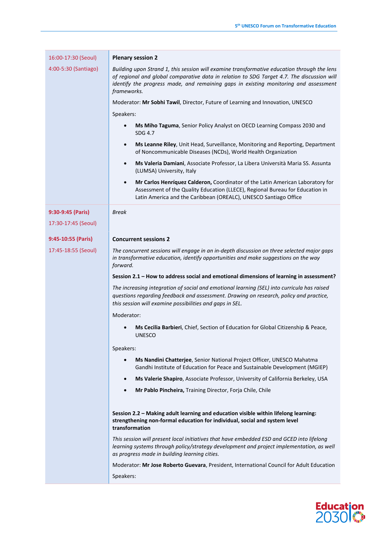| 16:00-17:30 (Seoul)  | <b>Plenary session 2</b>                                                                                                                                                                                                                                                                         |  |  |  |  |
|----------------------|--------------------------------------------------------------------------------------------------------------------------------------------------------------------------------------------------------------------------------------------------------------------------------------------------|--|--|--|--|
| 4:00-5:30 (Santiago) | Building upon Strand 1, this session will examine transformative education through the lens<br>of regional and global comparative data in relation to SDG Target 4.7. The discussion will<br>identify the progress made, and remaining gaps in existing monitoring and assessment<br>frameworks. |  |  |  |  |
|                      | Moderator: Mr Sobhi Tawil, Director, Future of Learning and Innovation, UNESCO                                                                                                                                                                                                                   |  |  |  |  |
|                      | Speakers:                                                                                                                                                                                                                                                                                        |  |  |  |  |
|                      | Ms Miho Taguma, Senior Policy Analyst on OECD Learning Compass 2030 and<br>$\bullet$<br>SDG 4.7                                                                                                                                                                                                  |  |  |  |  |
|                      | Ms Leanne Riley, Unit Head, Surveillance, Monitoring and Reporting, Department<br>$\bullet$<br>of Noncommunicable Diseases (NCDs), World Health Organization                                                                                                                                     |  |  |  |  |
|                      | Ms Valeria Damiani, Associate Professor, La Libera Università Maria SS. Assunta<br>$\bullet$<br>(LUMSA) University, Italy                                                                                                                                                                        |  |  |  |  |
|                      | Mr Carlos Henríquez Calderon, Coordinator of the Latin American Laboratory for<br>$\bullet$<br>Assessment of the Quality Education (LLECE), Regional Bureau for Education in<br>Latin America and the Caribbean (OREALC), UNESCO Santiago Office                                                 |  |  |  |  |
| 9:30-9:45 (Paris)    | <b>Break</b>                                                                                                                                                                                                                                                                                     |  |  |  |  |
| 17:30-17:45 (Seoul)  |                                                                                                                                                                                                                                                                                                  |  |  |  |  |
| 9:45-10:55 (Paris)   | <b>Concurrent sessions 2</b>                                                                                                                                                                                                                                                                     |  |  |  |  |
| 17:45-18:55 (Seoul)  | The concurrent sessions will engage in an in-depth discussion on three selected major gaps<br>in transformative education, identify opportunities and make suggestions on the way<br>forward.                                                                                                    |  |  |  |  |
|                      | Session 2.1 - How to address social and emotional dimensions of learning in assessment?                                                                                                                                                                                                          |  |  |  |  |
|                      | The increasing integration of social and emotional learning (SEL) into curricula has raised<br>questions regarding feedback and assessment. Drawing on research, policy and practice,<br>this session will examine possibilities and gaps in SEL.                                                |  |  |  |  |
|                      | Moderator:                                                                                                                                                                                                                                                                                       |  |  |  |  |
|                      | Ms Cecilia Barbieri, Chief, Section of Education for Global Citizenship & Peace,<br><b>UNESCO</b>                                                                                                                                                                                                |  |  |  |  |
|                      | Speakers:                                                                                                                                                                                                                                                                                        |  |  |  |  |
|                      | Ms Nandini Chatterjee, Senior National Project Officer, UNESCO Mahatma<br>$\bullet$<br>Gandhi Institute of Education for Peace and Sustainable Development (MGIEP)                                                                                                                               |  |  |  |  |
|                      | Ms Valerie Shapiro, Associate Professor, University of California Berkeley, USA<br>$\bullet$                                                                                                                                                                                                     |  |  |  |  |
|                      | Mr Pablo Pincheira, Training Director, Forja Chile, Chile<br>$\bullet$                                                                                                                                                                                                                           |  |  |  |  |
|                      | Session 2.2 - Making adult learning and education visible within lifelong learning:<br>strengthening non-formal education for individual, social and system level<br>transformation                                                                                                              |  |  |  |  |
|                      | This session will present local initiatives that have embedded ESD and GCED into lifelong<br>learning systems through policy/strategy development and project implementation, as well<br>as progress made in building learning cities.                                                           |  |  |  |  |
|                      |                                                                                                                                                                                                                                                                                                  |  |  |  |  |
|                      | Moderator: Mr Jose Roberto Guevara, President, International Council for Adult Education                                                                                                                                                                                                         |  |  |  |  |

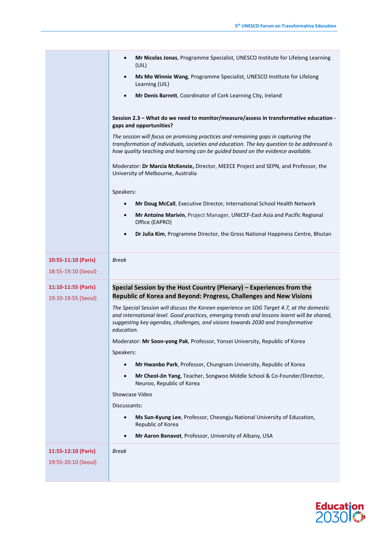|                                            | Mr Nicolas Jonas, Programme Specialist, UNESCO Institute for Lifelong Learning<br>$\bullet$<br>(UIL)                                                                                                                                                                                      |  |  |  |
|--------------------------------------------|-------------------------------------------------------------------------------------------------------------------------------------------------------------------------------------------------------------------------------------------------------------------------------------------|--|--|--|
|                                            | Ms Mo Winnie Wang, Programme Specialist, UNESCO Institute for Lifelong<br>$\bullet$<br>Learning (UIL)                                                                                                                                                                                     |  |  |  |
|                                            | Mr Denis Barrett, Coordinator of Cork Learning City, Ireland<br>$\bullet$                                                                                                                                                                                                                 |  |  |  |
|                                            | Session 2.3 - What do we need to monitor/measure/assess in transformative education -<br>gaps and opportunities?                                                                                                                                                                          |  |  |  |
|                                            | The session will focus on promising practices and remaining gaps in capturing the<br>transformation of individuals, societies and education. The key question to be addressed is<br>how quality teaching and learning can be guided based on the evidence available.                      |  |  |  |
|                                            | Moderator: Dr Marcia McKenzie, Director, MEECE Project and SEPN, and Professor, the<br>University of Melbourne, Australia                                                                                                                                                                 |  |  |  |
|                                            | Speakers:                                                                                                                                                                                                                                                                                 |  |  |  |
|                                            | Mr Doug McCall, Executive Director, International School Health Network<br>$\bullet$                                                                                                                                                                                                      |  |  |  |
|                                            | Mr Antoine Marivin, Project Manager, UNICEF-East Asia and Pacific Regional<br>$\bullet$<br>Office (EAPRO)                                                                                                                                                                                 |  |  |  |
|                                            | Dr Julia Kim, Programme Director, the Gross National Happiness Centre, Bhutan<br>$\bullet$                                                                                                                                                                                                |  |  |  |
| 10:55-11:10 (Paris)                        | <b>Break</b>                                                                                                                                                                                                                                                                              |  |  |  |
|                                            |                                                                                                                                                                                                                                                                                           |  |  |  |
| 18:55-19:10 (Seoul)                        |                                                                                                                                                                                                                                                                                           |  |  |  |
| 11:10-11:55 (Paris)<br>19:10-19:55 (Seoul) | Special Session by the Host Country (Plenary) - Experiences from the<br>Republic of Korea and Beyond: Progress, Challenges and New Visions                                                                                                                                                |  |  |  |
|                                            | The Special Session will discuss the Korean experience on SDG Target 4.7, at the domestic<br>and international level. Good practices, emerging trends and lessons learnt will be shared,<br>suggesting key agendas, challenges, and visions towards 2030 and transformative<br>education. |  |  |  |
|                                            | Moderator: Mr Soon-yong Pak, Professor, Yonsei University, Republic of Korea                                                                                                                                                                                                              |  |  |  |
|                                            | Speakers:                                                                                                                                                                                                                                                                                 |  |  |  |
|                                            | Mr Hwanbo Park, Professor, Chungnam University, Republic of Korea<br>$\bullet$                                                                                                                                                                                                            |  |  |  |
|                                            | Mr Cheol-Jin Yang, Teacher, Songwoo Middle School & Co-Founder/Director,<br>$\bullet$<br>Neuroo, Republic of Korea                                                                                                                                                                        |  |  |  |
|                                            | Showcase Video                                                                                                                                                                                                                                                                            |  |  |  |
|                                            | Discussants:                                                                                                                                                                                                                                                                              |  |  |  |
|                                            | Ms Sun-Kyung Lee, Professor, Cheongju National University of Education,<br>$\bullet$<br>Republic of Korea                                                                                                                                                                                 |  |  |  |
|                                            | Mr Aaron Benavot, Professor, University of Albany, USA<br>$\bullet$                                                                                                                                                                                                                       |  |  |  |
| 11:55-12:10 (Paris)                        | <b>Break</b>                                                                                                                                                                                                                                                                              |  |  |  |
| 19:55-20:10 (Seoul)                        |                                                                                                                                                                                                                                                                                           |  |  |  |

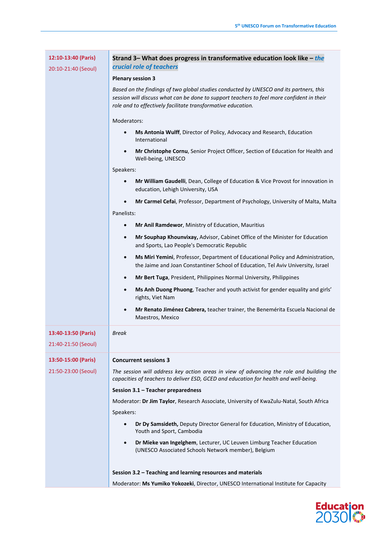| 12:10-13:40 (Paris) | Strand 3– What does progress in transformative education look like $-$ the<br>crucial role of teachers                                                                                                                                              |  |  |  |
|---------------------|-----------------------------------------------------------------------------------------------------------------------------------------------------------------------------------------------------------------------------------------------------|--|--|--|
| 20:10-21:40 (Seoul) |                                                                                                                                                                                                                                                     |  |  |  |
|                     | <b>Plenary session 3</b>                                                                                                                                                                                                                            |  |  |  |
|                     | Based on the findings of two global studies conducted by UNESCO and its partners, this<br>session will discuss what can be done to support teachers to feel more confident in their<br>role and to effectively facilitate transformative education. |  |  |  |
|                     | Moderators:                                                                                                                                                                                                                                         |  |  |  |
|                     | Ms Antonia Wulff, Director of Policy, Advocacy and Research, Education<br>$\bullet$<br>International                                                                                                                                                |  |  |  |
|                     | Mr Christophe Cornu, Senior Project Officer, Section of Education for Health and<br>$\bullet$<br>Well-being, UNESCO                                                                                                                                 |  |  |  |
|                     | Speakers:                                                                                                                                                                                                                                           |  |  |  |
|                     | Mr William Gaudelli, Dean, College of Education & Vice Provost for innovation in<br>$\bullet$<br>education, Lehigh University, USA                                                                                                                  |  |  |  |
|                     | Mr Carmel Cefai, Professor, Department of Psychology, University of Malta, Malta<br>$\bullet$                                                                                                                                                       |  |  |  |
|                     | Panelists:                                                                                                                                                                                                                                          |  |  |  |
|                     | Mr Anil Ramdewor, Ministry of Education, Mauritius<br>$\bullet$                                                                                                                                                                                     |  |  |  |
|                     | Mr Souphap Khounvixay, Advisor, Cabinet Office of the Minister for Education<br>$\bullet$<br>and Sports, Lao People's Democratic Republic                                                                                                           |  |  |  |
|                     | Ms Miri Yemini, Professor, Department of Educational Policy and Administration,<br>$\bullet$<br>the Jaime and Joan Constantiner School of Education, Tel Aviv University, Israel                                                                    |  |  |  |
|                     | Mr Bert Tuga, President, Philippines Normal University, Philippines<br>$\bullet$                                                                                                                                                                    |  |  |  |
|                     | Ms Anh Duong Phuong, Teacher and youth activist for gender equality and girls'<br>$\bullet$<br>rights, Viet Nam                                                                                                                                     |  |  |  |
|                     | Mr Renato Jiménez Cabrera, teacher trainer, the Benemérita Escuela Nacional de<br>$\bullet$<br>Maestros, Mexico                                                                                                                                     |  |  |  |
| 13:40-13:50 (Paris) | Break                                                                                                                                                                                                                                               |  |  |  |
| 21:40-21:50 (Seoul) |                                                                                                                                                                                                                                                     |  |  |  |
| 13:50-15:00 (Paris) | <b>Concurrent sessions 3</b>                                                                                                                                                                                                                        |  |  |  |
| 21:50-23:00 (Seoul) | The session will address key action areas in view of advancing the role and building the<br>capacities of teachers to deliver ESD, GCED and education for health and well-being.                                                                    |  |  |  |
|                     | Session 3.1 - Teacher preparedness                                                                                                                                                                                                                  |  |  |  |
|                     | Moderator: Dr Jim Taylor, Research Associate, University of KwaZulu-Natal, South Africa                                                                                                                                                             |  |  |  |
|                     | Speakers:                                                                                                                                                                                                                                           |  |  |  |
|                     | Dr Dy Samsideth, Deputy Director General for Education, Ministry of Education,<br>$\bullet$<br>Youth and Sport, Cambodia                                                                                                                            |  |  |  |
|                     | Dr Mieke van Ingelghem, Lecturer, UC Leuven Limburg Teacher Education<br>$\bullet$<br>(UNESCO Associated Schools Network member), Belgium                                                                                                           |  |  |  |
|                     | Session 3.2 - Teaching and learning resources and materials                                                                                                                                                                                         |  |  |  |
|                     | Moderator: Ms Yumiko Yokozeki, Director, UNESCO International Institute for Capacity                                                                                                                                                                |  |  |  |

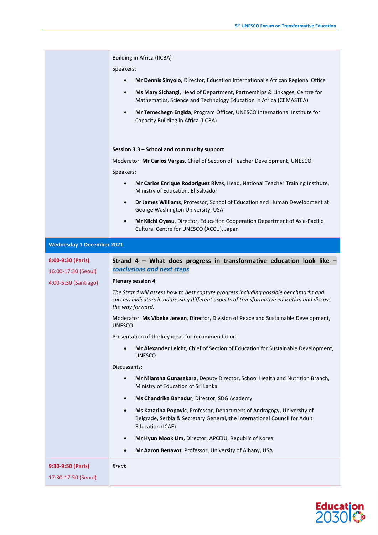|                                  | <b>Building in Africa (IICBA)</b>                                                                                                                                                                       |  |  |  |
|----------------------------------|---------------------------------------------------------------------------------------------------------------------------------------------------------------------------------------------------------|--|--|--|
|                                  | Speakers:                                                                                                                                                                                               |  |  |  |
|                                  | Mr Dennis Sinyolo, Director, Education International's African Regional Office<br>$\bullet$                                                                                                             |  |  |  |
|                                  | Ms Mary Sichangi, Head of Department, Partnerships & Linkages, Centre for<br>$\bullet$<br>Mathematics, Science and Technology Education in Africa (CEMASTEA)                                            |  |  |  |
|                                  | Mr Temechegn Engida, Program Officer, UNESCO International Institute for<br>$\bullet$<br>Capacity Building in Africa (IICBA)                                                                            |  |  |  |
|                                  | Session 3.3 - School and community support                                                                                                                                                              |  |  |  |
|                                  | Moderator: Mr Carlos Vargas, Chief of Section of Teacher Development, UNESCO                                                                                                                            |  |  |  |
|                                  | Speakers:                                                                                                                                                                                               |  |  |  |
|                                  | Mr Carlos Enrique Rodoriguez Rivas, Head, National Teacher Training Institute,<br>$\bullet$<br>Ministry of Education, El Salvador                                                                       |  |  |  |
|                                  | Dr James Williams, Professor, School of Education and Human Development at<br>$\bullet$<br>George Washington University, USA                                                                            |  |  |  |
|                                  | Mr Kiichi Oyasu, Director, Education Cooperation Department of Asia-Pacific<br>$\bullet$<br>Cultural Centre for UNESCO (ACCU), Japan                                                                    |  |  |  |
| <b>Wednesday 1 December 2021</b> |                                                                                                                                                                                                         |  |  |  |
| 8:00-9:30 (Paris)                | Strand 4 - What does progress in transformative education look like -                                                                                                                                   |  |  |  |
| 16:00-17:30 (Seoul)              | conclusions and next steps                                                                                                                                                                              |  |  |  |
| 4:00-5:30 (Santiago)             | <b>Plenary session 4</b>                                                                                                                                                                                |  |  |  |
|                                  | The Strand will assess how to best capture progress including possible benchmarks and<br>success indicators in addressing different aspects of transformative education and discuss<br>the way forward. |  |  |  |
|                                  | Moderator: Ms Vibeke Jensen, Director, Division of Peace and Sustainable Development,<br><b>UNESCO</b>                                                                                                  |  |  |  |
|                                  | Presentation of the key ideas for recommendation:                                                                                                                                                       |  |  |  |
|                                  | Mr Alexander Leicht, Chief of Section of Education for Sustainable Development,<br><b>UNESCO</b>                                                                                                        |  |  |  |
|                                  | Discussants:                                                                                                                                                                                            |  |  |  |
|                                  | Mr Nilantha Gunasekara, Deputy Director, School Health and Nutrition Branch,<br>$\bullet$<br>Ministry of Education of Sri Lanka                                                                         |  |  |  |
|                                  | Ms Chandrika Bahadur, Director, SDG Academy<br>$\bullet$                                                                                                                                                |  |  |  |
|                                  | Ms Katarina Popovic, Professor, Department of Andragogy, University of<br>$\bullet$<br>Belgrade, Serbia & Secretary General, the International Council for Adult<br>Education (ICAE)                    |  |  |  |
|                                  | Mr Hyun Mook Lim, Director, APCEIU, Republic of Korea<br>$\bullet$                                                                                                                                      |  |  |  |
|                                  | Mr Aaron Benavot, Professor, University of Albany, USA                                                                                                                                                  |  |  |  |
| 9:30-9:50 (Paris)                |                                                                                                                                                                                                         |  |  |  |
|                                  | <b>Break</b>                                                                                                                                                                                            |  |  |  |
| 17:30-17:50 (Seoul)              |                                                                                                                                                                                                         |  |  |  |

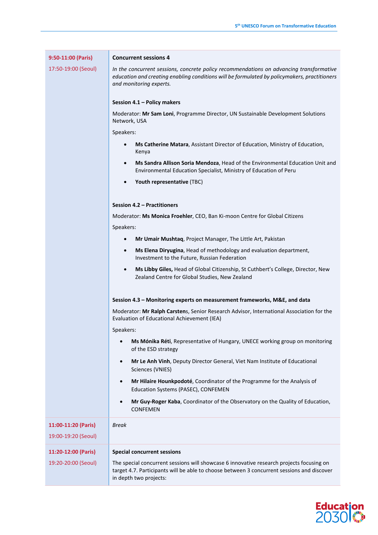|  |  |  |  | 9:50-11:00 (Paris) |  |
|--|--|--|--|--------------------|--|
|--|--|--|--|--------------------|--|

17:50-19:00 (Seoul)

## **Concurrent sessions 4**

*In the concurrent sessions, concrete policy recommendations on advancing transformative education and creating enabling conditions will be formulated by policymakers, practitioners and monitoring experts.*

## **Session 4.1 – Policy makers**

Moderator: **Mr Sam Loni**, Programme Director, UN Sustainable Development Solutions Network, USA

Speakers:

- **Ms Catherine Matara**, Assistant Director of Education, Ministry of Education, Kenya
- **Ms Sandra Allison Soria Mendoza**, Head of the Environmental Education Unit and Environmental Education Specialist, Ministry of Education of Peru
- **Youth representative** (TBC)

#### **Session 4.2 – Practitioners**

Moderator: **Ms Monica Froehler**, CEO, Ban Ki-moon Centre for Global Citizens

Speakers:

- **Mr Umair Mushtaq**, Project Manager, The Little Art, Pakistan
- **Ms Elena Diryugina**, Head of methodology and evaluation department, Investment to the Future, Russian Federation
- **Ms Libby Giles,** Head of Global Citizenship, St Cuthbert's College, Director, New Zealand Centre for Global Studies, New Zealand

#### **Session 4.3 – Monitoring experts on measurement frameworks, M&E, and data**

Moderator: **Mr Ralph Carsten**s, Senior Research Advisor, International Association for the Evaluation of Educational Achievement (IEA)

Speakers:

- **Ms Mónika Réti**, Representative of Hungary, UNECE working group on monitoring of the ESD strategy
- **Mr Le Anh Vinh**, Deputy Director General, Viet Nam Institute of Educational Sciences (VNIES)
- **Mr Hilaire Hounkpodoté**, Coordinator of the Programme for the Analysis of Education Systems (PASEC), CONFEMEN
- **Mr Guy-Roger Kaba**, Coordinator of the Observatory on the Quality of Education, **CONFEMEN**

**11:00-11:20 (Paris)** 19:00-19:20 (Seoul) *Break* **11:20-12:00 (Paris)** 19:20-20:00 (Seoul) **Special concurrent sessions** The special concurrent sessions will showcase 6 innovative research projects focusing on target 4.7. Participants will be able to choose between 3 concurrent sessions and discover in depth two projects:

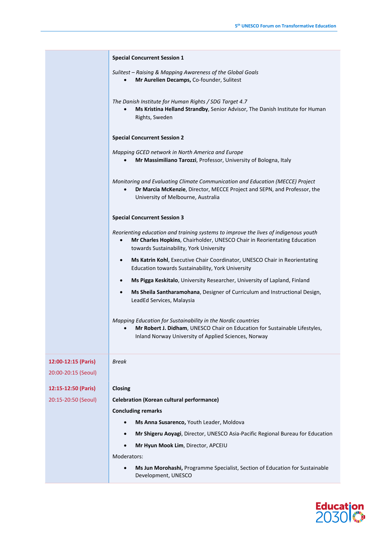|                                            | <b>Special Concurrent Session 1</b>                                                                                                                                                                             |  |  |  |
|--------------------------------------------|-----------------------------------------------------------------------------------------------------------------------------------------------------------------------------------------------------------------|--|--|--|
|                                            | Sulitest - Raising & Mapping Awareness of the Global Goals<br>Mr Aurelien Decamps, Co-founder, Sulitest                                                                                                         |  |  |  |
|                                            | The Danish Institute for Human Rights / SDG Target 4.7<br>Ms Kristina Helland Strandby, Senior Advisor, The Danish Institute for Human<br>$\bullet$<br>Rights, Sweden                                           |  |  |  |
|                                            | <b>Special Concurrent Session 2</b>                                                                                                                                                                             |  |  |  |
|                                            | Mapping GCED network in North America and Europe<br>Mr Massimiliano Tarozzi, Professor, University of Bologna, Italy                                                                                            |  |  |  |
|                                            | Monitoring and Evaluating Climate Communication and Education (MECCE) Project<br>Dr Marcia McKenzie, Director, MECCE Project and SEPN, and Professor, the<br>University of Melbourne, Australia                 |  |  |  |
|                                            | <b>Special Concurrent Session 3</b>                                                                                                                                                                             |  |  |  |
|                                            | Reorienting education and training systems to improve the lives of indigenous youth<br>Mr Charles Hopkins, Chairholder, UNESCO Chair in Reorientating Education<br>٠<br>towards Sustainability, York University |  |  |  |
|                                            | Ms Katrin Kohl, Executive Chair Coordinator, UNESCO Chair in Reorientating<br>$\bullet$<br>Education towards Sustainability, York University                                                                    |  |  |  |
|                                            | Ms Pigga Keskitalo, University Researcher, University of Lapland, Finland<br>$\bullet$                                                                                                                          |  |  |  |
|                                            | Ms Sheila Santharamohana, Designer of Curriculum and Instructional Design,<br>٠<br>LeadEd Services, Malaysia                                                                                                    |  |  |  |
|                                            | Mapping Education for Sustainability in the Nordic countries<br>Mr Robert J. Didham, UNESCO Chair on Education for Sustainable Lifestyles,<br>$\bullet$<br>Inland Norway University of Applied Sciences, Norway |  |  |  |
| 12:00-12:15 (Paris)<br>20:00-20:15 (Seoul) | <b>Break</b>                                                                                                                                                                                                    |  |  |  |
| 12:15-12:50 (Paris)                        | Closing                                                                                                                                                                                                         |  |  |  |
| 20:15-20:50 (Seoul)                        | <b>Celebration (Korean cultural performance)</b>                                                                                                                                                                |  |  |  |
|                                            | <b>Concluding remarks</b>                                                                                                                                                                                       |  |  |  |
|                                            | Ms Anna Susarenco, Youth Leader, Moldova                                                                                                                                                                        |  |  |  |
|                                            | Mr Shigeru Aoyagi, Director, UNESCO Asia-Pacific Regional Bureau for Education                                                                                                                                  |  |  |  |
|                                            | Mr Hyun Mook Lim, Director, APCEIU<br>Moderators:                                                                                                                                                               |  |  |  |
|                                            | Ms Jun Morohashi, Programme Specialist, Section of Education for Sustainable                                                                                                                                    |  |  |  |
|                                            | Development, UNESCO                                                                                                                                                                                             |  |  |  |